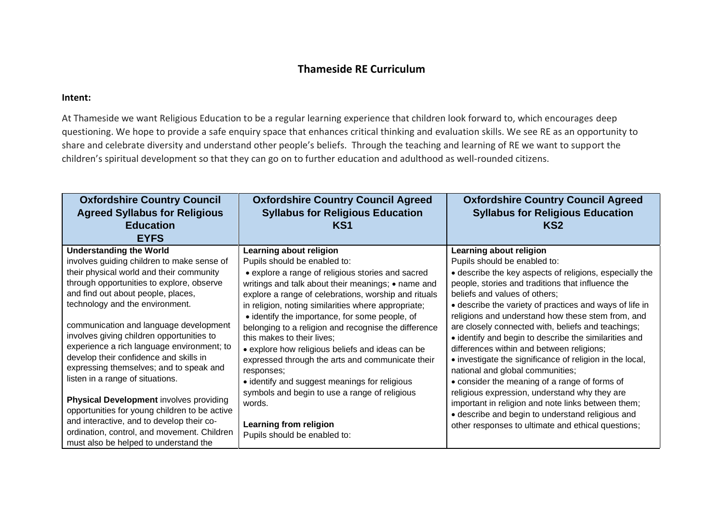## **Thameside RE Curriculum**

## **Intent:**

At Thameside we want Religious Education to be a regular learning experience that children look forward to, which encourages deep questioning. We hope to provide a safe enquiry space that enhances critical thinking and evaluation skills. We see RE as an opportunity to share and celebrate diversity and understand other people's beliefs. Through the teaching and learning of RE we want to support the children's spiritual development so that they can go on to further education and adulthood as well-rounded citizens.

| <b>Oxfordshire Country Council</b><br><b>Agreed Syllabus for Religious</b><br><b>Education</b><br><b>EYFS</b>                                                                                                                                                                                                                                                                                                                                                                                                                                                                                                                                                                                               | <b>Oxfordshire Country Council Agreed</b><br><b>Syllabus for Religious Education</b><br>KS <sub>1</sub>                                                                                                                                                                                                                                                                                                                                                                                                                                                                                                                                                                                                               | <b>Oxfordshire Country Council Agreed</b><br><b>Syllabus for Religious Education</b><br>KS2                                                                                                                                                                                                                                                                                                                                                                                                                                                                                                                                                                                                                                                                                                                                                            |
|-------------------------------------------------------------------------------------------------------------------------------------------------------------------------------------------------------------------------------------------------------------------------------------------------------------------------------------------------------------------------------------------------------------------------------------------------------------------------------------------------------------------------------------------------------------------------------------------------------------------------------------------------------------------------------------------------------------|-----------------------------------------------------------------------------------------------------------------------------------------------------------------------------------------------------------------------------------------------------------------------------------------------------------------------------------------------------------------------------------------------------------------------------------------------------------------------------------------------------------------------------------------------------------------------------------------------------------------------------------------------------------------------------------------------------------------------|--------------------------------------------------------------------------------------------------------------------------------------------------------------------------------------------------------------------------------------------------------------------------------------------------------------------------------------------------------------------------------------------------------------------------------------------------------------------------------------------------------------------------------------------------------------------------------------------------------------------------------------------------------------------------------------------------------------------------------------------------------------------------------------------------------------------------------------------------------|
| <b>Understanding the World</b><br>involves guiding children to make sense of<br>their physical world and their community<br>through opportunities to explore, observe<br>and find out about people, places,<br>technology and the environment.<br>communication and language development<br>involves giving children opportunities to<br>experience a rich language environment; to<br>develop their confidence and skills in<br>expressing themselves; and to speak and<br>listen in a range of situations.<br><b>Physical Development involves providing</b><br>opportunities for young children to be active<br>and interactive, and to develop their co-<br>ordination, control, and movement. Children | Learning about religion<br>Pupils should be enabled to:<br>• explore a range of religious stories and sacred<br>writings and talk about their meanings; • name and<br>explore a range of celebrations, worship and rituals<br>in religion, noting similarities where appropriate;<br>• identify the importance, for some people, of<br>belonging to a religion and recognise the difference<br>this makes to their lives;<br>• explore how religious beliefs and ideas can be<br>expressed through the arts and communicate their<br>responses;<br>• identify and suggest meanings for religious<br>symbols and begin to use a range of religious<br>words.<br>Learning from religion<br>Pupils should be enabled to: | Learning about religion<br>Pupils should be enabled to:<br>• describe the key aspects of religions, especially the<br>people, stories and traditions that influence the<br>beliefs and values of others;<br>• describe the variety of practices and ways of life in<br>religions and understand how these stem from, and<br>are closely connected with, beliefs and teachings;<br>• identify and begin to describe the similarities and<br>differences within and between religions;<br>• investigate the significance of religion in the local,<br>national and global communities;<br>• consider the meaning of a range of forms of<br>religious expression, understand why they are<br>important in religion and note links between them;<br>• describe and begin to understand religious and<br>other responses to ultimate and ethical questions; |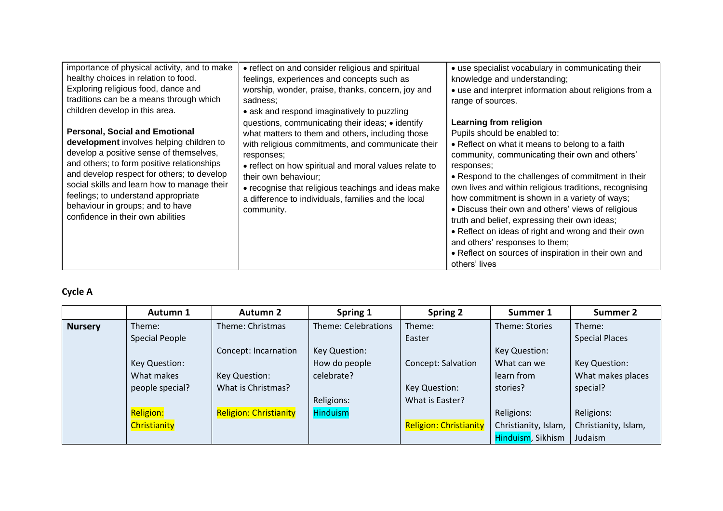| importance of physical activity, and to make<br>healthy choices in relation to food.<br>Exploring religious food, dance and<br>traditions can be a means through which<br>children develop in this area.                                                                                                                                                                                | • reflect on and consider religious and spiritual<br>feelings, experiences and concepts such as<br>worship, wonder, praise, thanks, concern, joy and<br>sadness;<br>• ask and respond imaginatively to puzzling                                                                                                                                                                      | • use specialist vocabulary in communicating their<br>knowledge and understanding;<br>• use and interpret information about religions from a<br>range of sources.                                                                                                                                                                                                                                                                                                                                                                                                                                                   |
|-----------------------------------------------------------------------------------------------------------------------------------------------------------------------------------------------------------------------------------------------------------------------------------------------------------------------------------------------------------------------------------------|--------------------------------------------------------------------------------------------------------------------------------------------------------------------------------------------------------------------------------------------------------------------------------------------------------------------------------------------------------------------------------------|---------------------------------------------------------------------------------------------------------------------------------------------------------------------------------------------------------------------------------------------------------------------------------------------------------------------------------------------------------------------------------------------------------------------------------------------------------------------------------------------------------------------------------------------------------------------------------------------------------------------|
| <b>Personal, Social and Emotional</b><br>development involves helping children to<br>develop a positive sense of themselves,<br>and others; to form positive relationships<br>and develop respect for others; to develop<br>social skills and learn how to manage their<br>feelings; to understand appropriate<br>behaviour in groups; and to have<br>confidence in their own abilities | questions, communicating their ideas; • identify<br>what matters to them and others, including those<br>with religious commitments, and communicate their<br>responses;<br>• reflect on how spiritual and moral values relate to<br>their own behaviour;<br>• recognise that religious teachings and ideas make<br>a difference to individuals, families and the local<br>community. | Learning from religion<br>Pupils should be enabled to:<br>• Reflect on what it means to belong to a faith<br>community, communicating their own and others'<br>responses;<br>• Respond to the challenges of commitment in their<br>own lives and within religious traditions, recognising<br>how commitment is shown in a variety of ways;<br>• Discuss their own and others' views of religious<br>truth and belief, expressing their own ideas;<br>• Reflect on ideas of right and wrong and their own<br>and others' responses to them;<br>• Reflect on sources of inspiration in their own and<br>others' lives |

## **Cycle A**

|                | Autumn 1         | <b>Autumn 2</b>               | Spring 1            | Spring 2                      | Summer 1             | <b>Summer 2</b>       |
|----------------|------------------|-------------------------------|---------------------|-------------------------------|----------------------|-----------------------|
| <b>Nursery</b> | Theme:           | Theme: Christmas              | Theme: Celebrations | Theme:                        | Theme: Stories       | Theme:                |
|                | Special People   |                               |                     | Easter                        |                      | <b>Special Places</b> |
|                |                  | Concept: Incarnation          | Key Question:       |                               | Key Question:        |                       |
|                | Key Question:    |                               | How do people       | Concept: Salvation            | What can we          | Key Question:         |
|                | What makes       | Key Question:                 | celebrate?          |                               | learn from           | What makes places     |
|                | people special?  | What is Christmas?            |                     | Key Question:                 | stories?             | special?              |
|                |                  |                               | Religions:          | What is Easter?               |                      |                       |
|                | <b>Religion:</b> | <b>Religion: Christianity</b> | <b>Hinduism</b>     |                               | Religions:           | Religions:            |
|                | Christianity     |                               |                     | <b>Religion: Christianity</b> | Christianity, Islam, | Christianity, Islam,  |
|                |                  |                               |                     |                               | Hinduism, Sikhism    | Judaism               |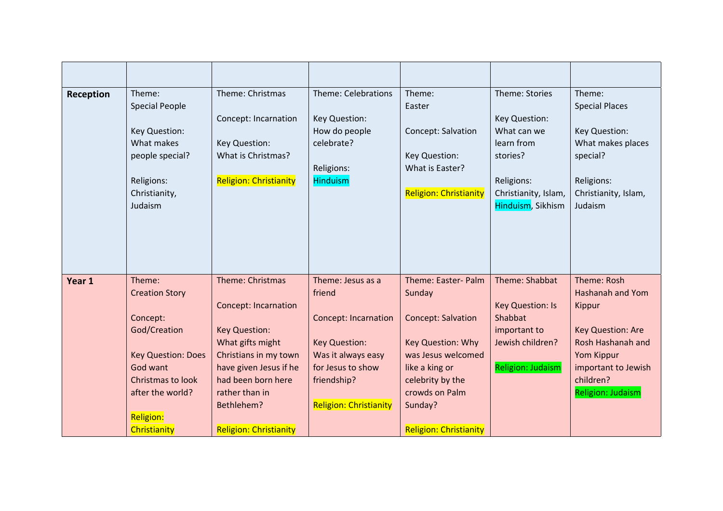| Reception | Theme:<br><b>Special People</b><br>Key Question:<br>What makes<br>people special?<br>Religions:<br>Christianity,<br>Judaism                                                       | Theme: Christmas<br>Concept: Incarnation<br>Key Question:<br>What is Christmas?<br><b>Religion: Christianity</b>                                                                                                                      | Theme: Celebrations<br>Key Question:<br>How do people<br>celebrate?<br>Religions:<br><b>Hinduism</b>                                                                          | Theme:<br>Easter<br>Concept: Salvation<br>Key Question:<br>What is Easter?<br><b>Religion: Christianity</b>                                                                                               | Theme: Stories<br>Key Question:<br>What can we<br>learn from<br>stories?<br>Religions:<br>Christianity, Islam,<br>Hinduism, Sikhism | Theme:<br><b>Special Places</b><br>Key Question:<br>What makes places<br>special?<br>Religions:<br>Christianity, Islam,<br>Judaism                         |
|-----------|-----------------------------------------------------------------------------------------------------------------------------------------------------------------------------------|---------------------------------------------------------------------------------------------------------------------------------------------------------------------------------------------------------------------------------------|-------------------------------------------------------------------------------------------------------------------------------------------------------------------------------|-----------------------------------------------------------------------------------------------------------------------------------------------------------------------------------------------------------|-------------------------------------------------------------------------------------------------------------------------------------|------------------------------------------------------------------------------------------------------------------------------------------------------------|
| Year 1    | Theme:<br><b>Creation Story</b><br>Concept:<br>God/Creation<br><b>Key Question: Does</b><br>God want<br>Christmas to look<br>after the world?<br><b>Religion:</b><br>Christianity | Theme: Christmas<br><b>Concept: Incarnation</b><br><b>Key Question:</b><br>What gifts might<br>Christians in my town<br>have given Jesus if he<br>had been born here<br>rather than in<br>Bethlehem?<br><b>Religion: Christianity</b> | Theme: Jesus as a<br>friend<br><b>Concept: Incarnation</b><br><b>Key Question:</b><br>Was it always easy<br>for Jesus to show<br>friendship?<br><b>Religion: Christianity</b> | Theme: Easter- Palm<br>Sunday<br><b>Concept: Salvation</b><br>Key Question: Why<br>was Jesus welcomed<br>like a king or<br>celebrity by the<br>crowds on Palm<br>Sunday?<br><b>Religion: Christianity</b> | Theme: Shabbat<br><b>Key Question: Is</b><br>Shabbat<br>important to<br>Jewish children?<br><b>Religion: Judaism</b>                | Theme: Rosh<br>Hashanah and Yom<br>Kippur<br>Key Question: Are<br>Rosh Hashanah and<br>Yom Kippur<br>important to Jewish<br>children?<br>Religion: Judaism |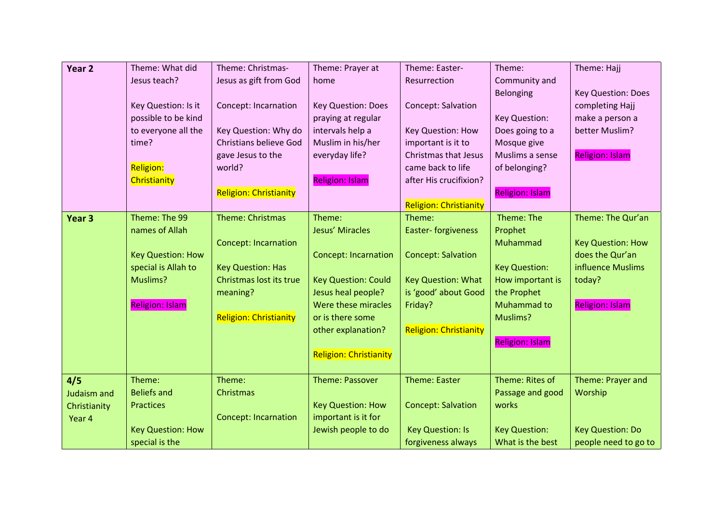| Year 2            | Theme: What did          | Theme: Christmas-             | Theme: Prayer at                                | Theme: Easter-                | Theme:                    | Theme: Hajj              |
|-------------------|--------------------------|-------------------------------|-------------------------------------------------|-------------------------------|---------------------------|--------------------------|
|                   | Jesus teach?             | Jesus as gift from God        | home                                            | Resurrection                  | Community and             |                          |
|                   |                          |                               |                                                 |                               | Belonging                 | Key Question: Does       |
|                   | Key Question: Is it      | <b>Concept: Incarnation</b>   | <b>Key Question: Does</b>                       | Concept: Salvation            |                           | completing Hajj          |
|                   | possible to be kind      |                               | praying at regular                              |                               | Key Question:             | make a person a          |
|                   | to everyone all the      | Key Question: Why do          | intervals help a                                | <b>Key Question: How</b>      | Does going to a           | better Muslim?           |
|                   | time?                    | <b>Christians believe God</b> | Muslim in his/her                               | important is it to            | Mosque give               |                          |
|                   |                          | gave Jesus to the             | everyday life?                                  | <b>Christmas that Jesus</b>   | Muslims a sense           | <b>Religion: Islam</b>   |
|                   | <b>Religion:</b>         | world?                        |                                                 | came back to life             | of belonging?             |                          |
|                   | <b>Christianity</b>      |                               | <b>Religion: Islam</b>                          | after His crucifixion?        |                           |                          |
|                   |                          | <b>Religion: Christianity</b> |                                                 |                               | <b>Religion: Islam</b>    |                          |
|                   |                          |                               |                                                 | <b>Religion: Christianity</b> |                           |                          |
| Year <sub>3</sub> | Theme: The 99            | <b>Theme: Christmas</b>       | Theme:                                          | Theme:                        | Theme: The                | Theme: The Qur'an        |
|                   | names of Allah           |                               | Jesus' Miracles                                 | Easter-forgiveness            | Prophet                   |                          |
|                   |                          | <b>Concept: Incarnation</b>   |                                                 |                               | Muhammad                  | <b>Key Question: How</b> |
|                   | <b>Key Question: How</b> |                               | <b>Concept: Incarnation</b>                     | <b>Concept: Salvation</b>     |                           | does the Qur'an          |
|                   | special is Allah to      | <b>Key Question: Has</b>      |                                                 |                               | <b>Key Question:</b>      | influence Muslims        |
|                   | Muslims?                 | Christmas lost its true       | <b>Key Question: Could</b>                      | <b>Key Question: What</b>     | How important is          | today?                   |
|                   |                          | meaning?                      | Jesus heal people?                              | is 'good' about Good          | the Prophet               |                          |
|                   | <b>Religion: Islam</b>   |                               | Were these miracles                             | Friday?                       | Muhammad to               | <b>Religion: Islam</b>   |
|                   |                          | <b>Religion: Christianity</b> | or is there some                                |                               | Muslims?                  |                          |
|                   |                          |                               | other explanation?                              | <b>Religion: Christianity</b> |                           |                          |
|                   |                          |                               |                                                 |                               | <b>Religion: Islam</b>    |                          |
|                   |                          |                               | <b>Religion: Christianity</b>                   |                               |                           |                          |
|                   | Theme:                   | Theme:                        | <b>Theme: Passover</b>                          | <b>Theme: Easter</b>          | Theme: Rites of           | Theme: Prayer and        |
| 4/5               | <b>Beliefs and</b>       |                               |                                                 |                               |                           |                          |
| Judaism and       | <b>Practices</b>         | Christmas                     |                                                 |                               | Passage and good<br>works | Worship                  |
| Christianity      |                          |                               | <b>Key Question: How</b><br>important is it for | <b>Concept: Salvation</b>     |                           |                          |
| Year 4            |                          | <b>Concept: Incarnation</b>   |                                                 |                               |                           |                          |
|                   | <b>Key Question: How</b> |                               | Jewish people to do                             | <b>Key Question: Is</b>       | <b>Key Question:</b>      | <b>Key Question: Do</b>  |
|                   | special is the           |                               |                                                 | forgiveness always            | What is the best          | people need to go to     |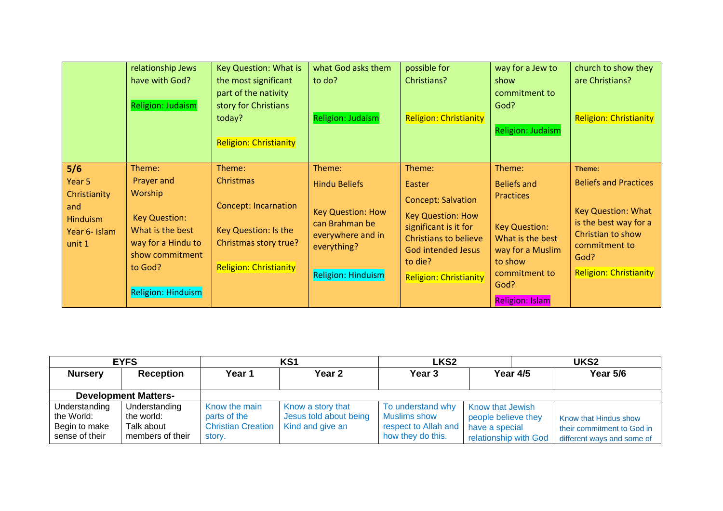|                                                                             | relationship Jews<br>have with God?<br><b>Religion: Judaism</b>                                                             | Key Question: What is<br>the most significant<br>part of the nativity<br>story for Christians<br>today?<br><b>Religion: Christianity</b> | what God asks them<br>to do?<br><b>Religion: Judaism</b>                                                         | possible for<br>Christians?<br><b>Religion: Christianity</b>                                                                                                               | way for a Jew to<br>show<br>commitment to<br>God?<br><b>Religion: Judaism</b>                                               | church to show they<br>are Christians?<br><b>Religion: Christianity</b>                                                                    |
|-----------------------------------------------------------------------------|-----------------------------------------------------------------------------------------------------------------------------|------------------------------------------------------------------------------------------------------------------------------------------|------------------------------------------------------------------------------------------------------------------|----------------------------------------------------------------------------------------------------------------------------------------------------------------------------|-----------------------------------------------------------------------------------------------------------------------------|--------------------------------------------------------------------------------------------------------------------------------------------|
| 5/6<br>Year 5<br>Christianity<br>and<br>Hinduism<br>Year 6- Islam<br>unit 1 | Theme:<br>Prayer and<br><b>Worship</b><br><b>Key Question:</b><br>What is the best<br>way for a Hindu to<br>show commitment | Theme:<br>Christmas<br><b>Concept: Incarnation</b><br>Key Question: Is the<br>Christmas story true?                                      | Theme:<br><b>Hindu Beliefs</b><br><b>Key Question: How</b><br>can Brahman be<br>everywhere and in<br>everything? | Theme:<br>Easter<br><b>Concept: Salvation</b><br><b>Key Question: How</b><br>significant is it for<br><b>Christians to believe</b><br><b>God intended Jesus</b><br>to die? | Theme:<br><b>Beliefs and</b><br><b>Practices</b><br><b>Key Question:</b><br>What is the best<br>way for a Muslim<br>to show | Theme:<br><b>Beliefs and Practices</b><br><b>Key Question: What</b><br>is the best way for a<br>Christian to show<br>commitment to<br>God? |
|                                                                             | to God?<br>Religion: Hinduism                                                                                               | <b>Religion: Christianity</b>                                                                                                            | <b>Religion: Hinduism</b>                                                                                        | <b>Religion: Christianity</b>                                                                                                                                              | commitment to<br>God?<br><b>Religion: Islam</b>                                                                             | <b>Religion: Christianity</b>                                                                                                              |

|                                                                | <b>EYFS</b>                                                   |                                                                      | KS <sub>1</sub>                                                 | LKS <sub>2</sub>                                                                      |                                                                                           |                 | UKS <sub>2</sub>                                                                  |
|----------------------------------------------------------------|---------------------------------------------------------------|----------------------------------------------------------------------|-----------------------------------------------------------------|---------------------------------------------------------------------------------------|-------------------------------------------------------------------------------------------|-----------------|-----------------------------------------------------------------------------------|
| <b>Nursery</b>                                                 | <b>Reception</b>                                              | Year 1                                                               | Year 2                                                          | Year 3                                                                                |                                                                                           | <b>Year 4/5</b> | Year 5/6                                                                          |
|                                                                | <b>Development Matters-</b>                                   |                                                                      |                                                                 |                                                                                       |                                                                                           |                 |                                                                                   |
| Understanding<br>the World:<br>Begin to make<br>sense of their | Understanding<br>the world:<br>Talk about<br>members of their | Know the main<br>parts of the<br><b>Christian Creation</b><br>story. | Know a story that<br>Jesus told about being<br>Kind and give an | To understand why<br><b>Muslims show</b><br>respect to Allah and<br>how they do this. | <b>Know that Jewish</b><br>people believe they<br>have a special<br>relationship with God |                 | Know that Hindus show<br>their commitment to God in<br>different ways and some of |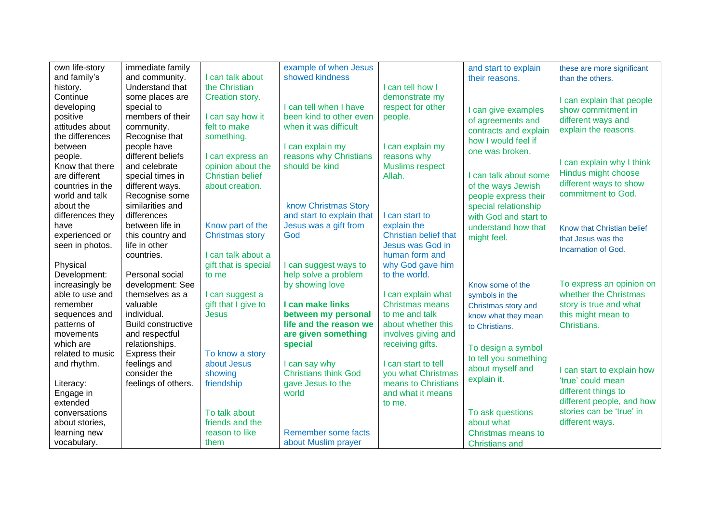| own life-story   | immediate family          |                         | example of when Jesus       |                              | and start to explain  | these are more significant |
|------------------|---------------------------|-------------------------|-----------------------------|------------------------------|-----------------------|----------------------------|
| and family's     | and community.            | I can talk about        | showed kindness             |                              | their reasons.        | than the others.           |
| history.         | Understand that           | the Christian           |                             | I can tell how I             |                       |                            |
| Continue         | some places are           | Creation story.         |                             | demonstrate my               |                       | I can explain that people  |
| developing       | special to                |                         | I can tell when I have      | respect for other            | I can give examples   | show commitment in         |
| positive         | members of their          | I can say how it        | been kind to other even     | people.                      | of agreements and     | different ways and         |
| attitudes about  | community.                | felt to make            | when it was difficult       |                              | contracts and explain | explain the reasons.       |
| the differences  | Recognise that            | something.              |                             |                              | how I would feel if   |                            |
| between          | people have               |                         | I can explain my            | I can explain my             |                       |                            |
| people.          | different beliefs         | I can express an        | reasons why Christians      | reasons why                  | one was broken.       |                            |
| Know that there  | and celebrate             | opinion about the       | should be kind              | <b>Muslims respect</b>       |                       | I can explain why I think  |
| are different    | special times in          | <b>Christian belief</b> |                             | Allah.                       | I can talk about some | Hindus might choose        |
| countries in the | different ways.           | about creation.         |                             |                              | of the ways Jewish    | different ways to show     |
| world and talk   | Recognise some            |                         |                             |                              | people express their  | commitment to God.         |
| about the        | similarities and          |                         | know Christmas Story        |                              | special relationship  |                            |
| differences they | differences               |                         | and start to explain that   | I can start to               | with God and start to |                            |
| have             | between life in           | Know part of the        | Jesus was a gift from       | explain the                  | understand how that   | Know that Christian belief |
| experienced or   | this country and          | <b>Christmas story</b>  | God                         | <b>Christian belief that</b> | might feel.           | that Jesus was the         |
| seen in photos.  | life in other             |                         |                             | Jesus was God in             |                       | Incarnation of God.        |
|                  | countries.                | I can talk about a      |                             | human form and               |                       |                            |
| Physical         |                           | gift that is special    | I can suggest ways to       | why God gave him             |                       |                            |
| Development:     | Personal social           | to me                   | help solve a problem        | to the world.                |                       |                            |
| increasingly be  | development: See          |                         | by showing love             |                              | Know some of the      | To express an opinion on   |
| able to use and  | themselves as a           | I can suggest a         |                             | I can explain what           | symbols in the        | whether the Christmas      |
| remember         | valuable                  | gift that I give to     | I can make links            | <b>Christmas means</b>       | Christmas story and   | story is true and what     |
| sequences and    | individual.               | <b>Jesus</b>            | between my personal         | to me and talk               | know what they mean   | this might mean to         |
| patterns of      | <b>Build constructive</b> |                         | life and the reason we      | about whether this           | to Christians.        | Christians.                |
| movements        | and respectful            |                         | are given something         | involves giving and          |                       |                            |
| which are        | relationships.            |                         | special                     | receiving gifts.             | To design a symbol    |                            |
| related to music | Express their             | To know a story         |                             |                              | to tell you something |                            |
| and rhythm.      | feelings and              | about Jesus             | I can say why               | I can start to tell          | about myself and      |                            |
|                  | consider the              | showing                 | <b>Christians think God</b> | you what Christmas           |                       | I can start to explain how |
| Literacy:        | feelings of others.       | friendship              | gave Jesus to the           | means to Christians          | explain it.           | 'true' could mean          |
| Engage in        |                           |                         | world                       | and what it means            |                       | different things to        |
| extended         |                           |                         |                             | to me.                       |                       | different people, and how  |
| conversations    |                           | To talk about           |                             |                              | To ask questions      | stories can be 'true' in   |
| about stories,   |                           | friends and the         |                             |                              | about what            | different ways.            |
| learning new     |                           | reason to like          | Remember some facts         |                              | Christmas means to    |                            |
| vocabulary.      |                           | them                    | about Muslim prayer         |                              | <b>Christians and</b> |                            |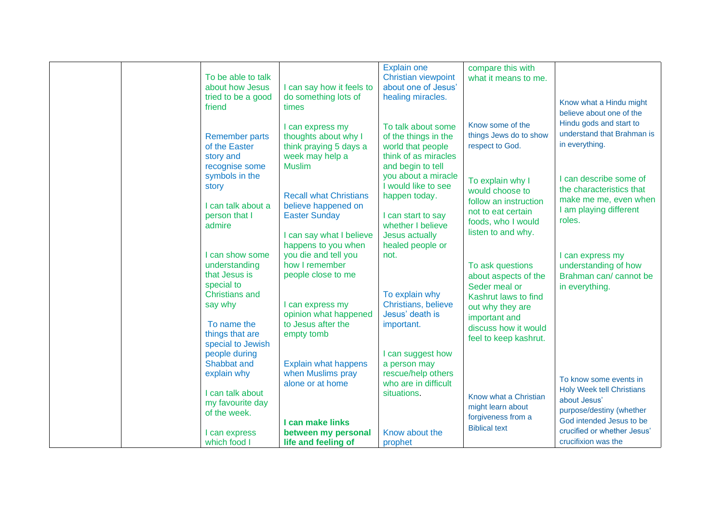|  |                       |                                       | <b>Explain one</b>                         | compare this with                     |                                  |
|--|-----------------------|---------------------------------------|--------------------------------------------|---------------------------------------|----------------------------------|
|  | To be able to talk    |                                       | <b>Christian viewpoint</b>                 | what it means to me.                  |                                  |
|  | about how Jesus       | I can say how it feels to             | about one of Jesus'                        |                                       |                                  |
|  | tried to be a good    | do something lots of                  | healing miracles.                          |                                       |                                  |
|  | friend                | times                                 |                                            |                                       | Know what a Hindu might          |
|  |                       |                                       |                                            |                                       | believe about one of the         |
|  |                       | I can express my                      | To talk about some                         | Know some of the                      | Hindu gods and start to          |
|  | <b>Remember parts</b> | thoughts about why I                  | of the things in the                       | things Jews do to show                | understand that Brahman is       |
|  | of the Easter         | think praying 5 days a                | world that people                          | respect to God.                       | in everything.                   |
|  | story and             | week may help a                       | think of as miracles                       |                                       |                                  |
|  | recognise some        | <b>Muslim</b>                         | and begin to tell                          |                                       |                                  |
|  | symbols in the        |                                       | you about a miracle                        |                                       | I can describe some of           |
|  | story                 |                                       | I would like to see                        | To explain why I                      |                                  |
|  |                       | <b>Recall what Christians</b>         | happen today.                              | would choose to                       | the characteristics that         |
|  | I can talk about a    | believe happened on                   |                                            | follow an instruction                 | make me me, even when            |
|  | person that I         | <b>Easter Sunday</b>                  | I can start to say                         | not to eat certain                    | I am playing different           |
|  | admire                |                                       | whether I believe                          | foods, who I would                    | roles.                           |
|  |                       | I can say what I believe              | Jesus actually                             | listen to and why.                    |                                  |
|  |                       | happens to you when                   | healed people or                           |                                       |                                  |
|  | I can show some       | you die and tell you                  | not.                                       |                                       | I can express my                 |
|  | understanding         | how I remember                        |                                            | To ask questions                      | understanding of how             |
|  | that Jesus is         | people close to me                    |                                            |                                       | Brahman can/ cannot be           |
|  | special to            |                                       |                                            | about aspects of the<br>Seder meal or |                                  |
|  | <b>Christians and</b> |                                       | To explain why                             |                                       | in everything.                   |
|  | say why               | I can express my                      | Christians, believe                        | Kashrut laws to find                  |                                  |
|  |                       | opinion what happened                 | Jesus' death is                            | out why they are                      |                                  |
|  | To name the           | to Jesus after the                    | important.                                 | important and                         |                                  |
|  | things that are       |                                       |                                            | discuss how it would                  |                                  |
|  | special to Jewish     | empty tomb                            |                                            | feel to keep kashrut.                 |                                  |
|  | people during         |                                       | I can suggest how                          |                                       |                                  |
|  | Shabbat and           |                                       |                                            |                                       |                                  |
|  |                       | <b>Explain what happens</b>           | a person may                               |                                       |                                  |
|  | explain why           | when Muslims pray<br>alone or at home | rescue/help others<br>who are in difficult |                                       | To know some events in           |
|  |                       |                                       |                                            |                                       | <b>Holy Week tell Christians</b> |
|  | I can talk about      |                                       | situations.                                | Know what a Christian                 | about Jesus'                     |
|  | my favourite day      |                                       |                                            | might learn about                     | purpose/destiny (whether         |
|  | of the week.          |                                       |                                            | forgiveness from a                    | God intended Jesus to be         |
|  |                       | I can make links                      |                                            | <b>Biblical text</b>                  | crucified or whether Jesus'      |
|  | I can express         | between my personal                   | Know about the                             |                                       |                                  |
|  | which food I          | life and feeling of                   | prophet                                    |                                       | crucifixion was the              |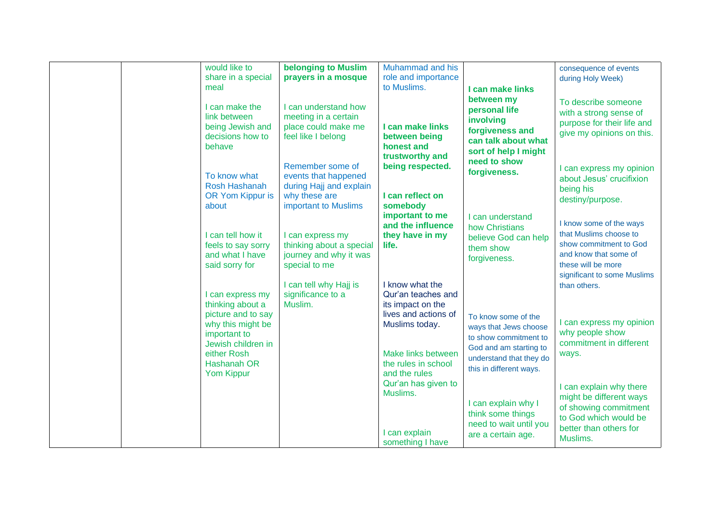| would like to      |                            | Muhammad and his     |                         |                             |
|--------------------|----------------------------|----------------------|-------------------------|-----------------------------|
|                    | <b>belonging to Muslim</b> |                      |                         | consequence of events       |
| share in a special | prayers in a mosque        | role and importance  |                         | during Holy Week)           |
| meal               |                            | to Muslims.          | I can make links        |                             |
|                    |                            |                      | between my              |                             |
| I can make the     | I can understand how       |                      | personal life           | To describe someone         |
| link between       | meeting in a certain       |                      |                         | with a strong sense of      |
| being Jewish and   | place could make me        | I can make links     | involving               | purpose for their life and  |
| decisions how to   |                            |                      | forgiveness and         | give my opinions on this.   |
|                    | feel like I belong         | between being        | can talk about what     |                             |
| behave             |                            | honest and           | sort of help I might    |                             |
|                    |                            | trustworthy and      | need to show            |                             |
|                    | Remember some of           | being respected.     |                         | I can express my opinion    |
| To know what       | events that happened       |                      | forgiveness.            | about Jesus' crucifixion    |
| Rosh Hashanah      | during Hajj and explain    |                      |                         |                             |
| OR Yom Kippur is   | why these are              | I can reflect on     |                         | being his                   |
|                    |                            |                      |                         | destiny/purpose.            |
| about              | important to Muslims       | somebody             |                         |                             |
|                    |                            | important to me      | I can understand        |                             |
|                    |                            | and the influence    | how Christians          | I know some of the ways     |
| I can tell how it  | I can express my           | they have in my      | believe God can help    | that Muslims choose to      |
| feels to say sorry | thinking about a special   | life.                | them show               | show commitment to God      |
| and what I have    | journey and why it was     |                      |                         | and know that some of       |
| said sorry for     | special to me              |                      | forgiveness.            | these will be more          |
|                    |                            |                      |                         | significant to some Muslims |
|                    |                            |                      |                         |                             |
|                    | I can tell why Hajj is     | I know what the      |                         | than others.                |
| I can express my   | significance to a          | Qur'an teaches and   |                         |                             |
| thinking about a   | Muslim.                    | its impact on the    |                         |                             |
| picture and to say |                            | lives and actions of | To know some of the     |                             |
| why this might be  |                            | Muslims today.       | ways that Jews choose   | I can express my opinion    |
| important to       |                            |                      |                         | why people show             |
| Jewish children in |                            |                      | to show commitment to   | commitment in different     |
| either Rosh        |                            | Make links between   | God and am starting to  |                             |
|                    |                            |                      | understand that they do | ways.                       |
| Hashanah OR        |                            | the rules in school  | this in different ways. |                             |
| <b>Yom Kippur</b>  |                            | and the rules        |                         |                             |
|                    |                            | Qur'an has given to  |                         | I can explain why there     |
|                    |                            | Muslims.             |                         | might be different ways     |
|                    |                            |                      | I can explain why I     |                             |
|                    |                            |                      | think some things       | of showing commitment       |
|                    |                            |                      |                         | to God which would be       |
|                    |                            |                      | need to wait until you  | better than others for      |
|                    |                            | I can explain        | are a certain age.      | Muslims.                    |
|                    |                            | something I have     |                         |                             |